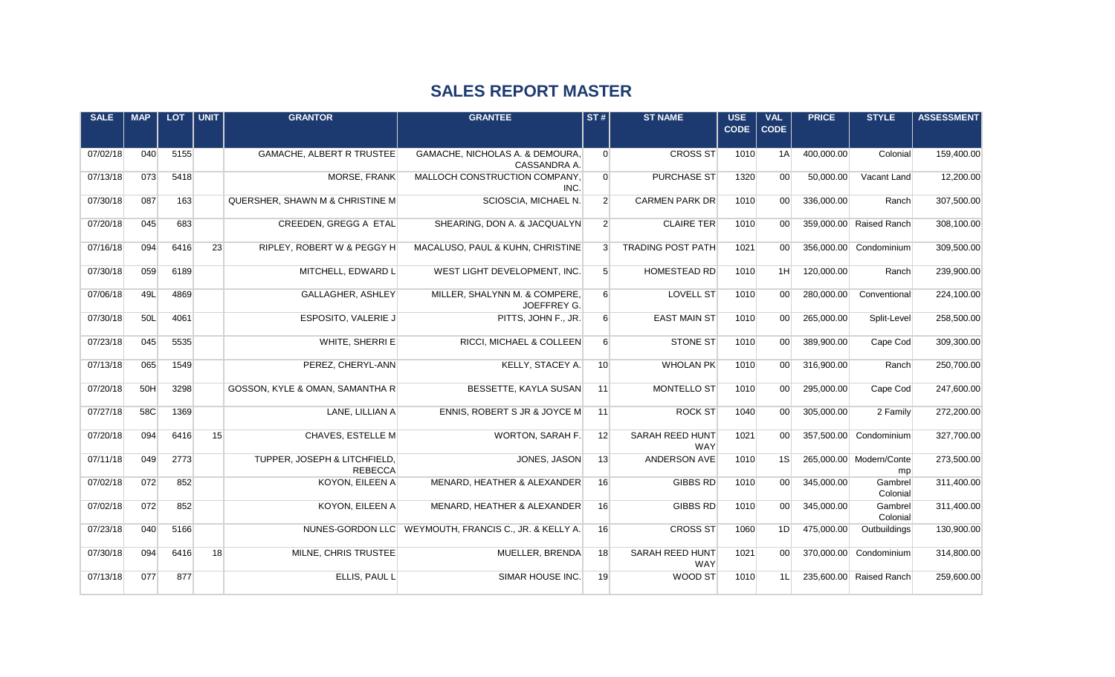## **SALES REPORT MASTER**

| <b>SALE</b> | <b>MAP</b> | <b>LOT</b> | <b>UNIT</b> | <b>GRANTOR</b>                                    | <b>GRANTEE</b>                                        | ST#              | <b>ST NAME</b>                            | $\overline{\text{USE}}$<br><b>CODE</b> | <b>VAL</b><br><b>CODE</b> | <b>PRICE</b> | <b>STYLE</b>                  | <b>ASSESSMENT</b> |
|-------------|------------|------------|-------------|---------------------------------------------------|-------------------------------------------------------|------------------|-------------------------------------------|----------------------------------------|---------------------------|--------------|-------------------------------|-------------------|
| 07/02/18    | 040        | 5155       |             | <b>GAMACHE, ALBERT R TRUSTEE</b>                  | GAMACHE, NICHOLAS A. & DEMOURA,<br>CASSANDRA A.       | $\overline{0}$   | <b>CROSS ST</b>                           | 1010                                   | 1A                        | 400,000.00   | Colonial                      | 159,400.00        |
| 07/13/18    | 073        | 5418       |             | MORSE, FRANK                                      | MALLOCH CONSTRUCTION COMPANY,<br>INC.                 | $\overline{0}$   | <b>PURCHASE ST</b>                        | 1320                                   | 00 <sup>1</sup>           | 50,000.00    | Vacant Land                   | 12,200.00         |
| 07/30/18    | 087        | 163        |             | QUERSHER, SHAWN M & CHRISTINE M                   | SCIOSCIA, MICHAEL N.                                  | $\overline{2}$   | <b>CARMEN PARK DR</b>                     | 1010                                   | 00 <sup>1</sup>           | 336,000.00   | Ranch                         | 307,500.00        |
| 07/20/18    | 045        | 683        |             | CREEDEN, GREGG A ETAL                             | SHEARING, DON A. & JACQUALYN                          | $\overline{2}$   | <b>CLAIRE TER</b>                         | 1010                                   | 00 <sup>1</sup>           |              | 359,000,00 Raised Ranch       | 308,100.00        |
| 07/16/18    | 094        | 6416       | 23          | RIPLEY, ROBERT W & PEGGY H                        | MACALUSO, PAUL & KUHN, CHRISTINE                      | $\mathbf{3}$     | <b>TRADING POST PATH</b>                  | 1021                                   | 00 <sup>1</sup>           |              | 356,000.00 Condominium        | 309,500.00        |
| 07/30/18    | 059        | 6189       |             | MITCHELL, EDWARD L                                | WEST LIGHT DEVELOPMENT, INC.                          | 5 <sup>5</sup>   | <b>HOMESTEAD RD</b>                       | 1010                                   | 1H                        | 120,000.00   | Ranch                         | 239,900.00        |
| 07/06/18    | 49L        | 4869       |             | GALLAGHER, ASHLEY                                 | MILLER, SHALYNN M. & COMPERE,<br>JOEFFREY G.          | $6 \mid$         | <b>LOVELL ST</b>                          | 1010                                   | 00 <sup>1</sup>           | 280,000.00   | Conventional                  | 224,100.00        |
| 07/30/18    | 50L        | 4061       |             | ESPOSITO, VALERIE J                               | PITTS, JOHN F., JR.                                   | $6 \mid$         | <b>EAST MAIN ST</b>                       | 1010                                   | 00 <sup>1</sup>           | 265,000.00   | Split-Level                   | 258,500.00        |
| 07/23/18    | 045        | 5535       |             | WHITE, SHERRI E                                   | RICCI, MICHAEL & COLLEEN                              | $6 \overline{6}$ | <b>STONE ST</b>                           | 1010                                   | 00 <sup>1</sup>           | 389,900.00   | Cape Cod                      | 309,300.00        |
| 07/13/18    | 065        | 1549       |             | PEREZ, CHERYL-ANN                                 | KELLY, STACEY A.                                      | 10               | <b>WHOLAN PK</b>                          | 1010                                   | 00 <sup>1</sup>           | 316,900.00   | Ranch                         | 250,700.00        |
| 07/20/18    | 50H        | 3298       |             | GOSSON, KYLE & OMAN, SAMANTHA R                   | BESSETTE, KAYLA SUSAN                                 | 11               | MONTELLO ST                               | 1010                                   | 00 <sup>1</sup>           | 295,000.00   | Cape Cod                      | 247,600.00        |
| 07/27/18    | 58C        | 1369       | 15          | LANE, LILLIAN A                                   | ENNIS, ROBERT S JR & JOYCE M                          | 11               | <b>ROCK ST</b>                            | 1040                                   | 00 <sup>1</sup>           | 305,000.00   | 2 Family                      | 272,200.00        |
| 07/20/18    | 094<br>049 | 6416       |             | CHAVES, ESTELLE M<br>TUPPER, JOSEPH & LITCHFIELD, | WORTON, SARAH F.                                      | 12               | SARAH REED HUNT<br><b>WAY</b>             | 1021<br>1010                           | 00 <sup>1</sup><br>1S     |              | 357,500.00 Condominium        | 327,700.00        |
| 07/11/18    | 072        | 2773       |             | <b>REBECCA</b>                                    | JONES, JASON                                          | 13<br>16         | ANDERSON AVE<br><b>GIBBS RD</b>           | 1010                                   | 00 <sup>1</sup>           |              | 265,000.00 Modern/Conte<br>mp | 273,500.00        |
| 07/02/18    |            | 852        |             | KOYON, EILEEN A                                   | MENARD, HEATHER & ALEXANDER                           |                  |                                           |                                        |                           | 345,000.00   | Gambrel<br>Colonial           | 311,400.00        |
| 07/02/18    | 072        | 852        |             | KOYON, EILEEN A                                   | MENARD, HEATHER & ALEXANDER                           | 16               | <b>GIBBS RD</b>                           | 1010                                   | 00 <sup>1</sup>           | 345,000.00   | Gambrel<br>Colonial           | 311,400.00        |
| 07/23/18    | 040        | 5166       |             |                                                   | NUNES-GORDON LLC WEYMOUTH, FRANCIS C., JR. & KELLY A. | 16               | <b>CROSS ST</b><br><b>SARAH REED HUNT</b> | 1060                                   | 1D                        | 475,000.00   | Outbuildings<br>Condominium   | 130,900.00        |
| 07/30/18    | 094        | 6416       | 18          | MILNE, CHRIS TRUSTEE                              | MUELLER, BRENDA                                       | 18               | WAY                                       | 1021                                   | 00 <sup>1</sup>           | 370,000.00   |                               | 314,800.00        |
| 07/13/18    | 077        | 877        |             | ELLIS, PAUL L                                     | SIMAR HOUSE INC.                                      | 19               | WOOD ST                                   | 1010                                   | 1L                        |              | 235,600.00 Raised Ranch       | 259,600.00        |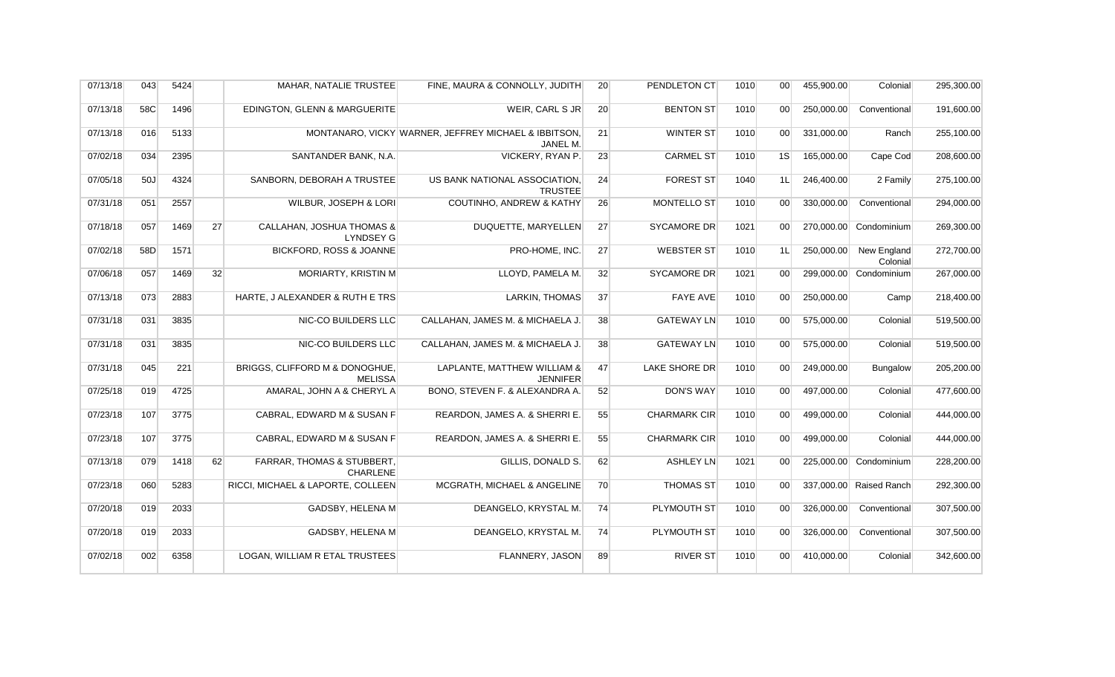| 07/13/18 | 043 | 5424 |    | MAHAR, NATALIE TRUSTEE                                   | FINE, MAURA & CONNOLLY, JUDITH                                   | 20 | PENDLETON CT        | 1010 | 00 <sup>1</sup> | 455,900.00 | Colonial                | 295,300.00 |
|----------|-----|------|----|----------------------------------------------------------|------------------------------------------------------------------|----|---------------------|------|-----------------|------------|-------------------------|------------|
| 07/13/18 | 58C | 1496 |    | EDINGTON, GLENN & MARGUERITE                             | WEIR, CARL S JR                                                  | 20 | <b>BENTON ST</b>    | 1010 | 00 <sup>1</sup> | 250,000.00 | Conventional            | 191,600.00 |
| 07/13/18 | 016 | 5133 |    |                                                          | MONTANARO, VICKY WARNER, JEFFREY MICHAEL & IBBITSON,<br>JANEL M. | 21 | WINTER ST           | 1010 | 00 <sup>1</sup> | 331,000.00 | Ranch                   | 255,100.00 |
| 07/02/18 | 034 | 2395 |    | SANTANDER BANK, N.A.                                     | VICKERY, RYAN P.                                                 | 23 | <b>CARMEL ST</b>    | 1010 | 1S              | 165,000.00 | Cape Cod                | 208,600.00 |
| 07/05/18 | 50J | 4324 |    | SANBORN, DEBORAH A TRUSTEE                               | US BANK NATIONAL ASSOCIATION,<br><b>TRUSTEE</b>                  | 24 | <b>FOREST ST</b>    | 1040 | 1L              | 246,400.00 | 2 Family                | 275,100.00 |
| 07/31/18 | 051 | 2557 |    | WILBUR, JOSEPH & LORI                                    | <b>COUTINHO, ANDREW &amp; KATHY</b>                              | 26 | MONTELLO ST         | 1010 | 00 <sup>1</sup> | 330,000.00 | Conventional            | 294,000.00 |
| 07/18/18 | 057 | 1469 | 27 | CALLAHAN, JOSHUA THOMAS &<br><b>LYNDSEY G</b>            | DUQUETTE, MARYELLEN                                              | 27 | <b>SYCAMORE DR</b>  | 1021 | 00 <sup>1</sup> | 270,000.00 | Condominium             | 269,300.00 |
| 07/02/18 | 58D | 1571 |    | <b>BICKFORD, ROSS &amp; JOANNE</b>                       | PRO-HOME, INC.                                                   | 27 | <b>WEBSTER ST</b>   | 1010 | 1L              | 250,000.00 | New England<br>Colonial | 272,700.00 |
| 07/06/18 | 057 | 1469 | 32 | MORIARTY, KRISTIN M                                      | LLOYD, PAMELA M.                                                 | 32 | <b>SYCAMORE DR</b>  | 1021 | 00 <sup>1</sup> | 299,000.00 | Condominium             | 267,000.00 |
| 07/13/18 | 073 | 2883 |    | HARTE, J ALEXANDER & RUTH E TRS                          | LARKIN, THOMAS                                                   | 37 | <b>FAYE AVE</b>     | 1010 | 00 <sup>1</sup> | 250,000.00 | Camp                    | 218,400.00 |
| 07/31/18 | 031 | 3835 |    | NIC-CO BUILDERS LLC                                      | CALLAHAN, JAMES M. & MICHAELA J.                                 | 38 | <b>GATEWAY LN</b>   | 1010 | 00 <sup>1</sup> | 575,000.00 | Colonial                | 519,500.00 |
| 07/31/18 | 031 | 3835 |    | NIC-CO BUILDERS LLC                                      | CALLAHAN, JAMES M. & MICHAELA J.                                 | 38 | <b>GATEWAY LN</b>   | 1010 | 00 <sup>1</sup> | 575,000.00 | Colonial                | 519,500.00 |
| 07/31/18 | 045 | 221  |    | BRIGGS, CLIFFORD M & DONOGHUE,<br><b>MELISSA</b>         | LAPLANTE, MATTHEW WILLIAM &<br><b>JENNIFER</b>                   | 47 | LAKE SHORE DR       | 1010 | 00 <sup>1</sup> | 249,000.00 | <b>Bungalow</b>         | 205,200.00 |
| 07/25/18 | 019 | 4725 |    | AMARAL, JOHN A & CHERYL A                                | BONO, STEVEN F. & ALEXANDRA A.                                   | 52 | <b>DON'S WAY</b>    | 1010 | 00 <sup>1</sup> | 497,000.00 | Colonial                | 477,600.00 |
| 07/23/18 | 107 | 3775 |    | CABRAL, EDWARD M & SUSAN F                               | REARDON, JAMES A. & SHERRI E.                                    | 55 | <b>CHARMARK CIR</b> | 1010 | 00 <sup>1</sup> | 499,000.00 | Colonial                | 444,000.00 |
| 07/23/18 | 107 | 3775 |    | CABRAL, EDWARD M & SUSAN F                               | REARDON, JAMES A. & SHERRI E.                                    | 55 | <b>CHARMARK CIR</b> | 1010 | 00 <sup>1</sup> | 499,000.00 | Colonial                | 444,000.00 |
| 07/13/18 | 079 | 1418 | 62 | <b>FARRAR, THOMAS &amp; STUBBERT,</b><br><b>CHARLENE</b> | GILLIS, DONALD S.                                                | 62 | <b>ASHLEY LN</b>    | 1021 | 00 <sup>1</sup> | 225,000.00 | Condominium             | 228,200.00 |
| 07/23/18 | 060 | 5283 |    | RICCI, MICHAEL & LAPORTE, COLLEEN                        | MCGRATH, MICHAEL & ANGELINE                                      | 70 | <b>THOMAS ST</b>    | 1010 | 00 <sup>1</sup> | 337,000.00 | Raised Ranch            | 292,300.00 |
| 07/20/18 | 019 | 2033 |    | GADSBY, HELENA M                                         | DEANGELO, KRYSTAL M.                                             | 74 | PLYMOUTH ST         | 1010 | 00 <sup>1</sup> | 326,000.00 | Conventional            | 307,500.00 |
| 07/20/18 | 019 | 2033 |    | GADSBY, HELENA M                                         | DEANGELO, KRYSTAL M.                                             | 74 | PLYMOUTH ST         | 1010 | 00 <sup>1</sup> | 326,000.00 | Conventional            | 307,500.00 |
| 07/02/18 | 002 | 6358 |    | LOGAN, WILLIAM R ETAL TRUSTEES                           | FLANNERY, JASON                                                  | 89 | <b>RIVER ST</b>     | 1010 | 00 <sup>1</sup> | 410,000.00 | Colonial                | 342,600.00 |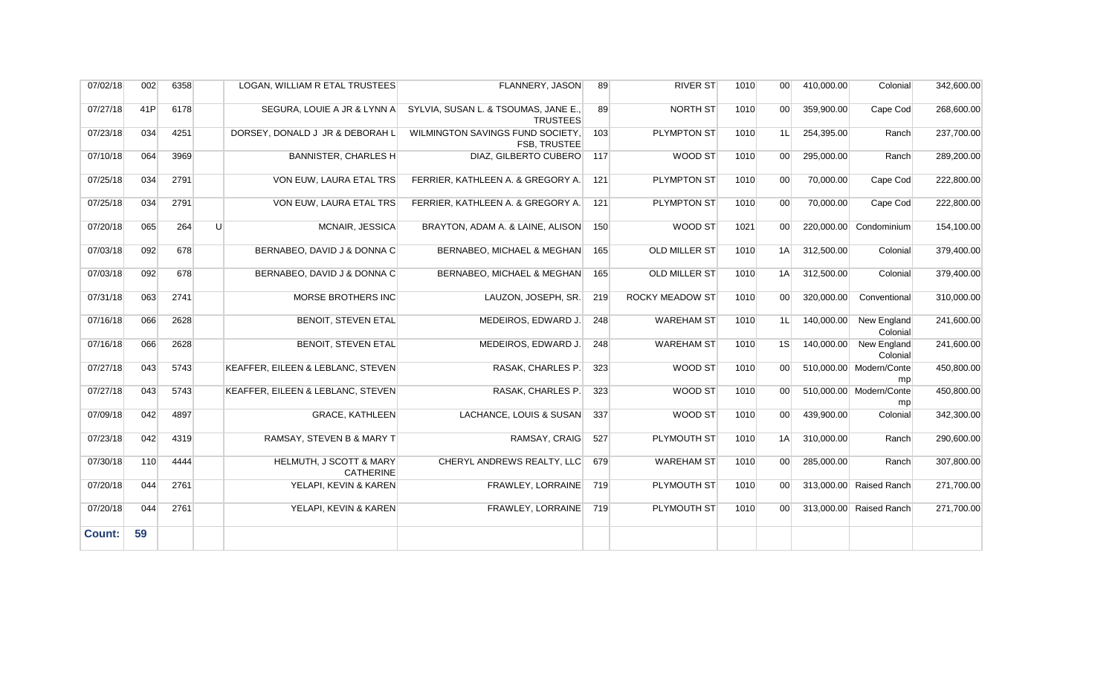| 07/02/18      | 002 | 6358 |   | LOGAN, WILLIAM R ETAL TRUSTEES              | FLANNERY, JASON                                         | 89  | <b>RIVER ST</b>        | 1010 | 00 <sup>1</sup> | 410,000.00 | Colonial                       | 342,600.00 |
|---------------|-----|------|---|---------------------------------------------|---------------------------------------------------------|-----|------------------------|------|-----------------|------------|--------------------------------|------------|
| 07/27/18      | 41P | 6178 |   | SEGURA, LOUIE A JR & LYNN A                 | SYLVIA, SUSAN L. & TSOUMAS, JANE E.,<br><b>TRUSTEES</b> | 89  | NORTH ST               | 1010 | 00 <sup>1</sup> | 359,900.00 | Cape Cod                       | 268,600.00 |
| 07/23/18      | 034 | 4251 |   | DORSEY, DONALD J JR & DEBORAH L             | WILMINGTON SAVINGS FUND SOCIETY,<br><b>FSB. TRUSTEE</b> | 103 | <b>PLYMPTON ST</b>     | 1010 | 1L              | 254,395.00 | Ranch                          | 237,700.00 |
| 07/10/18      | 064 | 3969 |   | <b>BANNISTER, CHARLES H</b>                 | DIAZ. GILBERTO CUBERO                                   | 117 | WOOD ST                | 1010 | 00 <sup>1</sup> | 295,000.00 | Ranch                          | 289,200.00 |
| 07/25/18      | 034 | 2791 |   | VON EUW, LAURA ETAL TRS                     | FERRIER, KATHLEEN A. & GREGORY A.                       | 121 | <b>PLYMPTON ST</b>     | 1010 | 00              | 70,000.00  | Cape Cod                       | 222,800.00 |
| 07/25/18      | 034 | 2791 |   | VON EUW, LAURA ETAL TRS                     | FERRIER, KATHLEEN A. & GREGORY A.                       | 121 | PLYMPTON ST            | 1010 | 00 <sup>1</sup> | 70,000.00  | Cape Cod                       | 222,800.00 |
| 07/20/18      | 065 | 264  | U | MCNAIR, JESSICA                             | BRAYTON, ADAM A. & LAINE, ALISON                        | 150 | WOOD ST                | 1021 | 00 <sup>°</sup> |            | 220.000.00 Condominium         | 154,100.00 |
| 07/03/18      | 092 | 678  |   | BERNABEO, DAVID J & DONNA C                 | BERNABEO, MICHAEL & MEGHAN                              | 165 | OLD MILLER ST          | 1010 | 1A              | 312,500.00 | Colonial                       | 379,400.00 |
| 07/03/18      | 092 | 678  |   | BERNABEO, DAVID J & DONNA C                 | BERNABEO, MICHAEL & MEGHAN                              | 165 | OLD MILLER ST          | 1010 | 1A              | 312,500.00 | Colonial                       | 379,400.00 |
| 07/31/18      | 063 | 2741 |   | MORSE BROTHERS INC                          | LAUZON, JOSEPH, SR.                                     | 219 | <b>ROCKY MEADOW ST</b> | 1010 | 00 <sup>1</sup> | 320,000.00 | Conventional                   | 310,000.00 |
| 07/16/18      | 066 | 2628 |   | <b>BENOIT, STEVEN ETAL</b>                  | MEDEIROS. EDWARD J.                                     | 248 | <b>WAREHAM ST</b>      | 1010 | 1L              | 140,000.00 | <b>New England</b><br>Colonial | 241,600.00 |
| 07/16/18      | 066 | 2628 |   | BENOIT, STEVEN ETAL                         | MEDEIROS, EDWARD J.                                     | 248 | <b>WAREHAM ST</b>      | 1010 | 1S              | 140,000.00 | New England<br>Colonial        | 241,600.00 |
| 07/27/18      | 043 | 5743 |   | KEAFFER, EILEEN & LEBLANC, STEVEN           | RASAK, CHARLES P.                                       | 323 | WOOD ST                | 1010 | 00 <sup>1</sup> |            | 510,000.00 Modern/Conte<br>mp  | 450,800.00 |
| 07/27/18      | 043 | 5743 |   | KEAFFER, EILEEN & LEBLANC, STEVEN           | RASAK, CHARLES P.                                       | 323 | WOOD ST                | 1010 | 00 <sup>1</sup> |            | 510,000.00 Modern/Conte<br>mp  | 450,800.00 |
| 07/09/18      | 042 | 4897 |   | <b>GRACE, KATHLEEN</b>                      | LACHANCE, LOUIS & SUSAN                                 | 337 | WOOD ST                | 1010 | 00 <sup>1</sup> | 439,900.00 | Colonial                       | 342,300.00 |
| 07/23/18      | 042 | 4319 |   | RAMSAY, STEVEN B & MARY T                   | RAMSAY, CRAIG                                           | 527 | PLYMOUTH ST            | 1010 | 1A              | 310,000.00 | Ranch                          | 290,600.00 |
| 07/30/18      | 110 | 4444 |   | HELMUTH, J SCOTT & MARY<br><b>CATHERINE</b> | CHERYL ANDREWS REALTY, LLC                              | 679 | <b>WAREHAM ST</b>      | 1010 | 00 <sup>1</sup> | 285,000.00 | Ranch                          | 307,800.00 |
| 07/20/18      | 044 | 2761 |   | YELAPI, KEVIN & KAREN                       | FRAWLEY, LORRAINE                                       | 719 | PLYMOUTH ST            | 1010 | 00 <sup>1</sup> |            | 313,000.00 Raised Ranch        | 271,700.00 |
| 07/20/18      | 044 | 2761 |   | YELAPI, KEVIN & KAREN                       | FRAWLEY, LORRAINE                                       | 719 | PLYMOUTH ST            | 1010 | 00 <sup>1</sup> |            | 313,000.00 Raised Ranch        | 271,700.00 |
| <b>Count:</b> | 59  |      |   |                                             |                                                         |     |                        |      |                 |            |                                |            |
|               |     |      |   |                                             |                                                         |     |                        |      |                 |            |                                |            |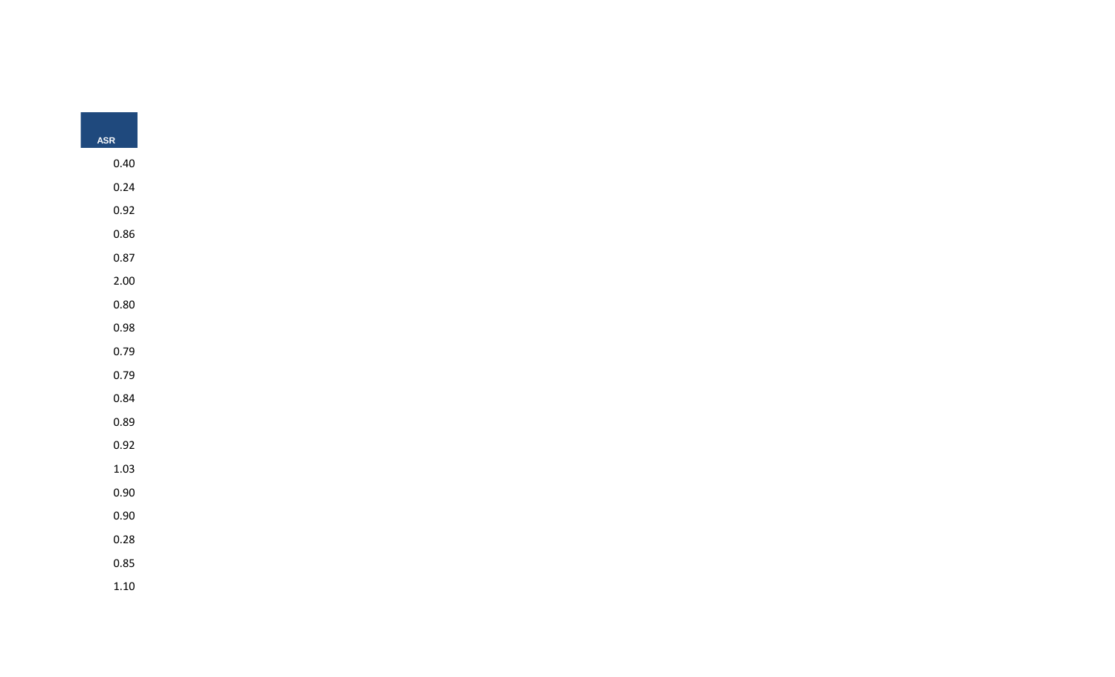| ASR      |
|----------|
|          |
| 0.40     |
| 0.24     |
| 0.92     |
| $0.86\,$ |
| 0.87     |
| 2.00     |
| $0.80\,$ |
| 0.98     |
|          |
| 0.79     |
| 0.79     |
| 0.84     |
| 0.89     |
| 0.92     |
| 1.03     |
| 0.90     |
| 0.90     |
| $0.28\,$ |
| $0.85\,$ |
|          |
| $1.10\,$ |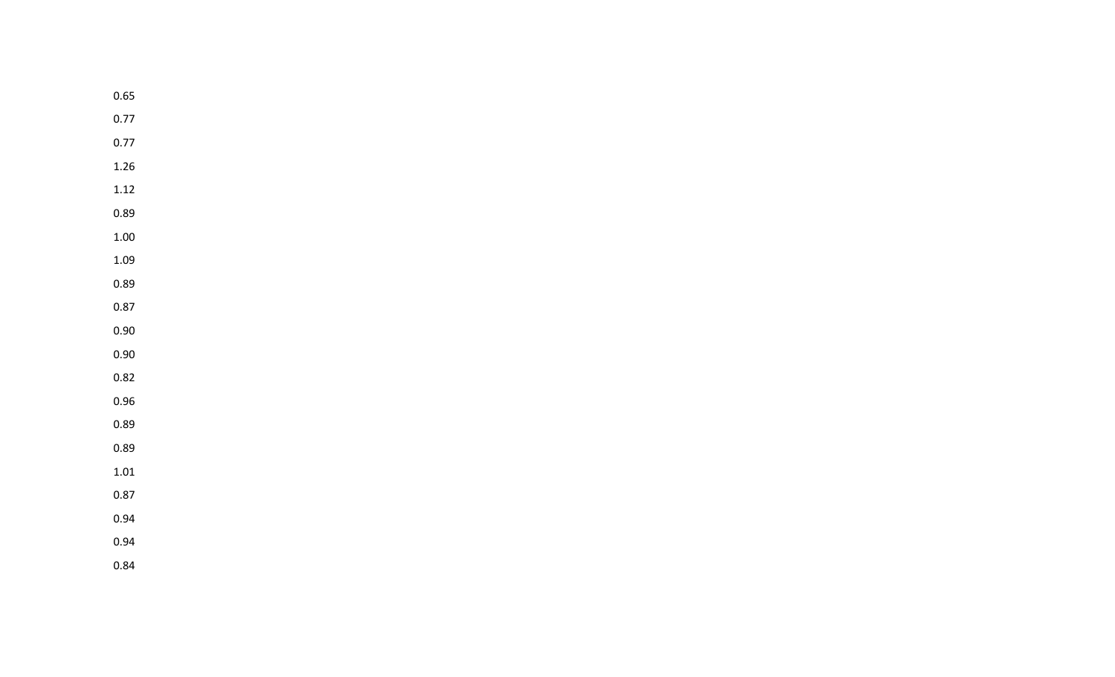| 0.65     |  |  |  |  |
|----------|--|--|--|--|
| 0.77     |  |  |  |  |
| 0.77     |  |  |  |  |
| 1.26     |  |  |  |  |
| 1.12     |  |  |  |  |
| 0.89     |  |  |  |  |
| $1.00\,$ |  |  |  |  |
| 1.09     |  |  |  |  |
| 0.89     |  |  |  |  |
| 0.87     |  |  |  |  |
| 0.90     |  |  |  |  |
| 0.90     |  |  |  |  |
| 0.82     |  |  |  |  |
| 0.96     |  |  |  |  |
| 0.89     |  |  |  |  |
| 0.89     |  |  |  |  |
| $1.01\,$ |  |  |  |  |
| 0.87     |  |  |  |  |
| 0.94     |  |  |  |  |
| 0.94     |  |  |  |  |
| 0.84     |  |  |  |  |